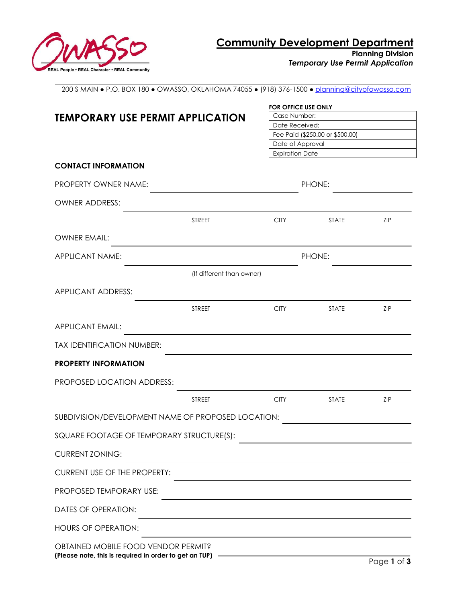

200 S MAIN ● P.O. BOX 180 ● OWASSO, OKLAHOMA 74055 ● (918) 376-1500 [● planning@cityofowasso.com](mailto:planning@cityofowasso.com)

|                                                                                                |                           | <b>FOR OFFICE USE ONLY</b> |                                 |             |
|------------------------------------------------------------------------------------------------|---------------------------|----------------------------|---------------------------------|-------------|
| <b>TEMPORARY USE PERMIT APPLICATION</b>                                                        |                           |                            | Case Number:                    |             |
|                                                                                                |                           | Date Received:             |                                 |             |
|                                                                                                |                           |                            | Fee Paid (\$250.00 or \$500.00) |             |
|                                                                                                |                           |                            | Date of Approval                |             |
|                                                                                                |                           | <b>Expiration Date</b>     |                                 |             |
| <b>CONTACT INFORMATION</b>                                                                     |                           |                            |                                 |             |
| PROPERTY OWNER NAME:                                                                           |                           |                            | PHONE:                          |             |
| <b>OWNER ADDRESS:</b>                                                                          |                           |                            |                                 |             |
|                                                                                                | <b>STREET</b>             | <b>CITY</b>                | <b>STATE</b>                    | ZIP         |
| <b>OWNER EMAIL:</b>                                                                            |                           |                            |                                 |             |
| APPLICANT NAME:                                                                                |                           |                            | PHONE:                          |             |
|                                                                                                | (If different than owner) |                            |                                 |             |
| APPLICANT ADDRESS:                                                                             |                           |                            |                                 |             |
|                                                                                                | <b>STREET</b>             | <b>CITY</b>                | <b>STATE</b>                    | ZIP         |
| <b>APPLICANT EMAIL:</b>                                                                        |                           |                            |                                 |             |
| <b>TAX IDENTIFICATION NUMBER:</b>                                                              |                           |                            |                                 |             |
| <b>PROPERTY INFORMATION</b>                                                                    |                           |                            |                                 |             |
| PROPOSED LOCATION ADDRESS:                                                                     |                           |                            |                                 |             |
|                                                                                                | <b>STREET</b>             | <b>CITY</b>                | <b>STATE</b>                    | ZIP         |
| SUBDIVISION/DEVELOPMENT NAME OF PROPOSED LOCATION:                                             |                           |                            |                                 |             |
| SQUARE FOOTAGE OF TEMPORARY STRUCTURE(S):                                                      |                           |                            |                                 |             |
| <b>CURRENT ZONING:</b>                                                                         |                           |                            |                                 |             |
| <b>CURRENT USE OF THE PROPERTY:</b>                                                            |                           |                            |                                 |             |
| PROPOSED TEMPORARY USE:                                                                        |                           |                            |                                 |             |
| DATES OF OPERATION:                                                                            |                           |                            |                                 |             |
| <b>HOURS OF OPERATION:</b>                                                                     |                           |                            |                                 |             |
| OBTAINED MOBILE FOOD VENDOR PERMIT?<br>(Please note, this is required in order to get an TUP). |                           |                            |                                 | Page 1 of 3 |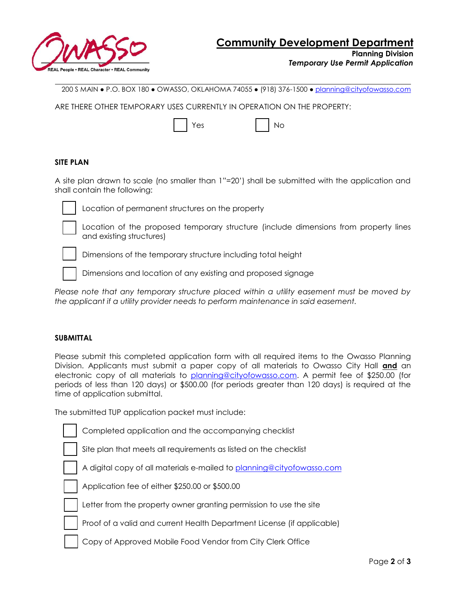

**Planning Division**

*Temporary Use Permit Application*

200 S MAIN ● P.O. BOX 180 ● OWASSO, OKLAHOMA 74055 ● (918) 376-1500 [● planning@cityofowasso.com](mailto:planning@cityofowasso.com)

ARE THERE OTHER TEMPORARY USES CURRENTLY IN OPERATION ON THE PROPERTY:

|  | Yes |  | No |
|--|-----|--|----|
|--|-----|--|----|

|--|

## **SITE PLAN**

A site plan drawn to scale (no smaller than 1"=20') shall be submitted with the application and shall contain the following:



Location of permanent structures on the property

Location of the proposed temporary structure (include dimensions from property lines and existing structures)



Dimensions of the temporary structure including total height

Dimensions and location of any existing and proposed signage

*Please note that any temporary structure placed within a utility easement must be moved by the applicant if a utility provider needs to perform maintenance in said easement.* 

## **SUBMITTAL**

Please submit this completed application form with all required items to the Owasso Planning Division. Applicants must submit a paper copy of all materials to Owasso City Hall **and** an electronic copy of all materials to [planning@cityofowasso.com.](mailto:planning@cityofowasso.com) A permit fee of \$250.00 (for periods of less than 120 days) or \$500.00 (for periods greater than 120 days) is required at the time of application submittal.

The submitted TUP application packet must include:

| Completed application and the accompanying checklist                   |
|------------------------------------------------------------------------|
| Site plan that meets all requirements as listed on the checklist       |
| A digital copy of all materials e-mailed to planning@cityofowasso.com  |
| Application fee of either \$250.00 or \$500.00                         |
| Letter from the property owner granting permission to use the site     |
| Proof of a valid and current Health Department License (if applicable) |
| Copy of Approved Mobile Food Vendor from City Clerk Office             |